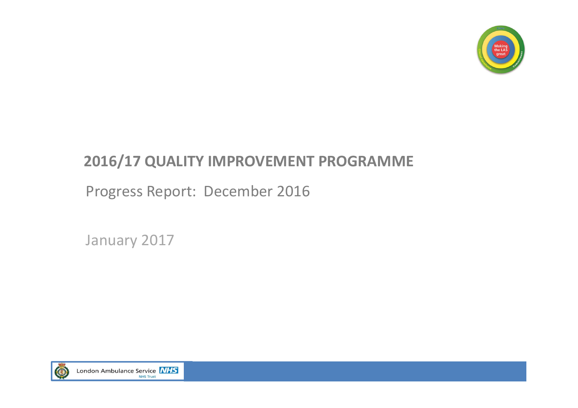

### **2016/17 QUALITY IMPROVEMENT PROGRAMME**

Progress Report: December 2016

January 2017

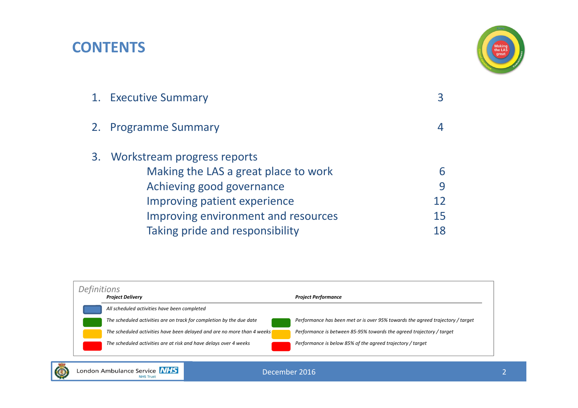### **CONTENTS**



| 1. Executive Summary                 |    |
|--------------------------------------|----|
| 2. Programme Summary                 |    |
| 3. Workstream progress reports       |    |
| Making the LAS a great place to work | 6  |
| Achieving good governance            | 9  |
| Improving patient experience         |    |
| Improving environment and resources  | 15 |
| Taking pride and responsibility      | 18 |
|                                      |    |

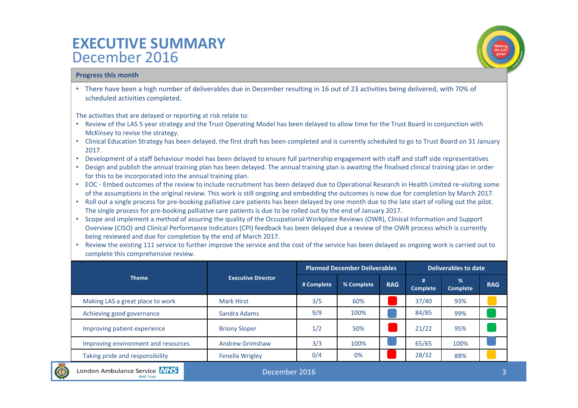### **EXECUTIVE SUMMARY** December 2016

### **Progress this month**

• There have been <sup>a</sup> high number of deliverables due in December resulting in 16 out of 23 activities being delivered, with 70% of scheduled activities completed.

The activities that are delayed or reporting at risk relate to:

- Review of the LAS 5 year strategy and the Trust Operating Model has been delayed to allow time for the Trust Board in conjunction with McKinsey to revise the strategy.
- Clinical Education Strategy has been delayed, the first draft has been completed and is currently scheduled to go to Trust Board on 31 January 2017.
- Development of <sup>a</sup> staff behaviour model has been delayed to ensure full partnership engagement with staff and staff side representatives
- Design and publish the annual training plan has been delayed. The annual training plan is awaiting the finalised clinical training plan in order for this to be incorporated into the annual training plan.
- EOC ‐ Embed outcomes of the review to include recruitment has been delayed due to Operational Research in Health Limited re‐visiting some of the assumptions in the original review. This work is still ongoing and embedding the outcomes is now due for completion by March 2017.
- Roll out <sup>a</sup> single process for pre‐booking palliative care patients has been delayed by one month due to the late start of rolling out the pilot. The single process for pre‐booking palliative care patients is due to be rolled out by the end of January 2017.
- Scope and implement <sup>a</sup> method of assuring the quality of the Occupational Workplace Reviews (OWR), Clinical Information and Support Overview (CISO) and Clinical Performance Indicators (CPI) feedback has been delayed due <sup>a</sup> review of the OWR process which is currently being reviewed and due for completion by the end of March 2017.
- Review the existing 111 service to further improve the service and the cost of the service has been delayed as ongoing work is carried out to complete this comprehensive review.

|                                     |                           |            | <b>Planned December Deliverables</b> | Deliverables to date |                      |                      |            |
|-------------------------------------|---------------------------|------------|--------------------------------------|----------------------|----------------------|----------------------|------------|
| <b>Theme</b>                        | <b>Executive Director</b> | # Complete | % Complete                           | <b>RAG</b>           | #<br><b>Complete</b> | %<br><b>Complete</b> | <b>RAG</b> |
| Making LAS a great place to work    | <b>Mark Hirst</b>         | 3/5        | 60%                                  |                      | 37/40                | 93%                  |            |
| Achieving good governance           | Sandra Adams              | 9/9        | 100%                                 |                      | 84/85                | 99%                  |            |
| Improving patient experience        | <b>Briony Sloper</b>      | 1/2        | 50%                                  |                      | 21/22                | 95%                  |            |
| Improving environment and resources | <b>Andrew Grimshaw</b>    | 3/3        | 100%                                 |                      | 65/65                | 100%                 |            |
| Taking pride and responsibility     | <b>Fenella Wrigley</b>    | 0/4        | 0%                                   |                      | 28/32                | 88%                  |            |

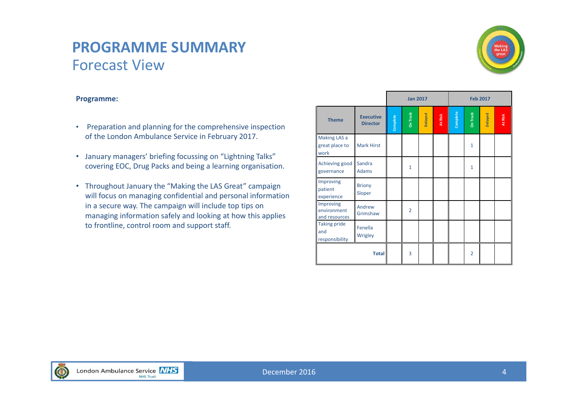### **PROGRAMME SUMMARY**Forecast View



### **Programme:**

- Preparation and planning for the comprehensive inspection of the London Ambulance Service in February 2017.
- January managers' briefing focussing on "Lightning Talks" covering EOC, Drug Packs and being <sup>a</sup> learning organisation.
- Throughout January the "Making the LAS Great" campaign will focus on managing confidential and personal information in <sup>a</sup> secure way. The campaign will include top tips on managing information safely and looking at how this applies to frontline, control room and support staff.

|                                              |                                     |          | <b>Jan 2017</b><br><b>Feb 2017</b> |         |              |          |                 |         |         |
|----------------------------------------------|-------------------------------------|----------|------------------------------------|---------|--------------|----------|-----------------|---------|---------|
| <b>Theme</b>                                 | <b>Executive</b><br><b>Director</b> | Complete | <b>On Track</b>                    | Delayed | I<br>At Risk | Complete | <b>On Track</b> | Delayed | At Risk |
| Making LAS a<br>great place to<br>work       | <b>Mark Hirst</b>                   |          |                                    |         |              |          | $\mathbf{1}$    |         |         |
| Achieving good<br>governance                 | Sandra<br><b>Adams</b>              |          | $\mathbf{1}$                       |         |              |          | $\mathbf{1}$    |         |         |
| Improving<br>patient<br>experience           | <b>Briony</b><br>Sloper             |          |                                    |         |              |          |                 |         |         |
| Improving<br>environment<br>and resources    | Andrew<br>Grimshaw                  |          | $\overline{2}$                     |         |              |          |                 |         |         |
| <b>Taking pride</b><br>and<br>responsibility | Fenella<br>Wrigley                  |          |                                    |         |              |          |                 |         |         |
|                                              | <b>Total</b>                        |          | 3                                  |         |              |          | $\overline{2}$  |         |         |

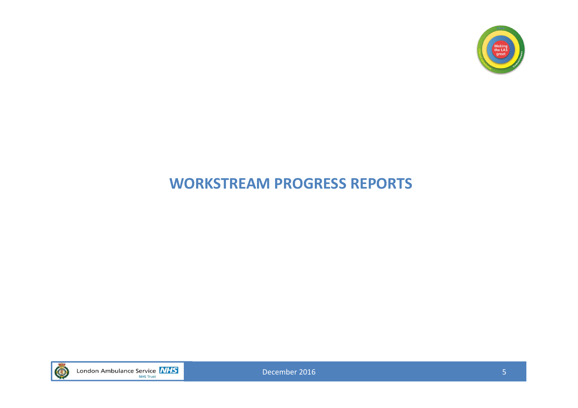

### **WORKSTREAM PROGRESS REPORTS**

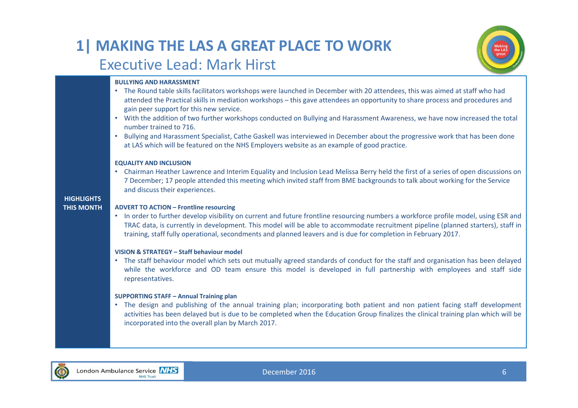### **1| MAKING THE LAS A GREAT PLACE TO WORK** Executive Lead: Mark Hirst



### **BULLYING AND HARASSMENT**

**HIGHLIGHTSTHIS MONTH**• The Round table skills facilitators workshops were launched in December with 20 attendees, this was aimed at staff who had attended the Practical skills in mediation workshops – this gave attendees an opportunity to share process and procedures and gain peer support for this new service. • With the addition of two further workshops conducted on Bullying and Harassment Awareness, we have now increased the total number trained to 716. • Bullying and Harassment Specialist, Cathe Gaskell was interviewed in December about the progressive work that has been done at LAS which will be featured on the NHS Employers website as an example of good practice. **EQUALITY AND INCLUSION** • Chairman Heather Lawrence and Interim Equality and Inclusion Lead Melissa Berry held the first of <sup>a</sup> series of open discussions on 7 December; 17 people attended this meeting which invited staff from BME backgrounds to talk about working for the Service and discuss their experiences. **ADVERT TO ACTION – Frontline resourcing** • In order to further develop visibility on current and future frontline resourcing numbers <sup>a</sup> workforce profile model, using ESR and TRAC data, is currently in development. This model will be able to accommodate recruitment pipeline (planned starters), staff in training, staff fully operational, secondments and planned leavers and is due for completion in February 2017. **VISION & STRATEGY – Staff behaviour model**• The staff behaviour model which sets out mutually agreed standards of conduct for the staff and organisation has been delayed while the workforce and OD team ensure this model is developed in full partnership with employees and staff side representatives. **SUPPORTING STAFF – Annual Training plan** • The design and publishing of the annual training plan; incorporating both patient and non patient facing staff development activities has been delayed but is due to be completed when the Education Group finalizes the clinical training plan which will be incorporated into the overall plan by March 2017.

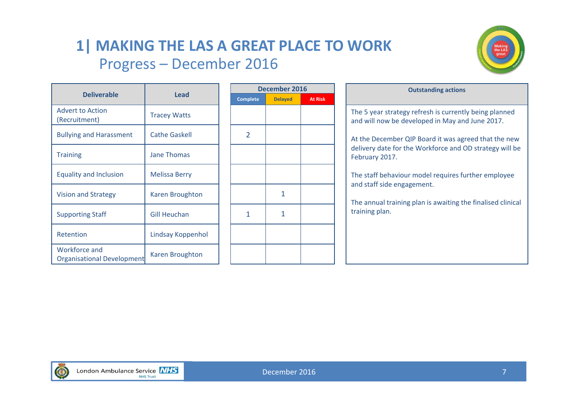### **1| MAKING THE LAS A GREAT PLACE TO WORK** Progress – December 2016



|                                                           |                        | <b>Decemb</b>   |             |  |  |
|-----------------------------------------------------------|------------------------|-----------------|-------------|--|--|
| <b>Deliverable</b>                                        | Lead                   | <b>Complete</b> | <b>Dela</b> |  |  |
| <b>Advert to Action</b><br>(Recruitment)                  | <b>Tracey Watts</b>    |                 |             |  |  |
| <b>Bullying and Harassment</b>                            | <b>Cathe Gaskell</b>   | 2               |             |  |  |
| <b>Training</b>                                           | <b>Jane Thomas</b>     |                 |             |  |  |
| <b>Equality and Inclusion</b>                             | <b>Melissa Berry</b>   |                 |             |  |  |
| <b>Vision and Strategy</b>                                | <b>Karen Broughton</b> |                 | 1           |  |  |
| <b>Supporting Staff</b>                                   | <b>Gill Heuchan</b>    | 1               | 1           |  |  |
| Retention                                                 | Lindsay Koppenhol      |                 |             |  |  |
| <b>Workforce and</b><br><b>Organisational Development</b> | Karen Broughton        |                 |             |  |  |

| December 2016   |                |                |  |  |  |  |  |  |  |  |
|-----------------|----------------|----------------|--|--|--|--|--|--|--|--|
| <b>Complete</b> | <b>Delayed</b> | <b>At Risk</b> |  |  |  |  |  |  |  |  |
|                 |                |                |  |  |  |  |  |  |  |  |
| $\overline{2}$  |                |                |  |  |  |  |  |  |  |  |
|                 |                |                |  |  |  |  |  |  |  |  |
|                 |                |                |  |  |  |  |  |  |  |  |
|                 | 1              |                |  |  |  |  |  |  |  |  |
| 1               | 1              |                |  |  |  |  |  |  |  |  |
|                 |                |                |  |  |  |  |  |  |  |  |
|                 |                |                |  |  |  |  |  |  |  |  |

|                                                                 |                      |                 | December 2016  |                |  |  |  |
|-----------------------------------------------------------------|----------------------|-----------------|----------------|----------------|--|--|--|
| <b>Deliverable</b>                                              | Lead                 | <b>Complete</b> | <b>Delayed</b> | <b>At Risk</b> |  |  |  |
| <b>Advert to Action</b><br>(Recruitment)                        | <b>Tracey Watts</b>  |                 |                |                |  |  |  |
| <b>Bullying and Harassment</b>                                  | <b>Cathe Gaskell</b> | 2               |                |                |  |  |  |
| <b>Training</b>                                                 | Jane Thomas          |                 |                |                |  |  |  |
| <b>Equality and Inclusion</b>                                   | <b>Melissa Berry</b> |                 |                |                |  |  |  |
| <b>Vision and Strategy</b>                                      | Karen Broughton      |                 | 1              |                |  |  |  |
| <b>Supporting Staff</b>                                         | <b>Gill Heuchan</b>  |                 | $\mathbf{1}$   |                |  |  |  |
| <b>Retention</b>                                                | Lindsay Koppenhol    |                 |                |                |  |  |  |
| $\mathbf{A}$ and $\mathbf{A}$ and $\mathbf{A}$ and $\mathbf{A}$ |                      |                 |                |                |  |  |  |

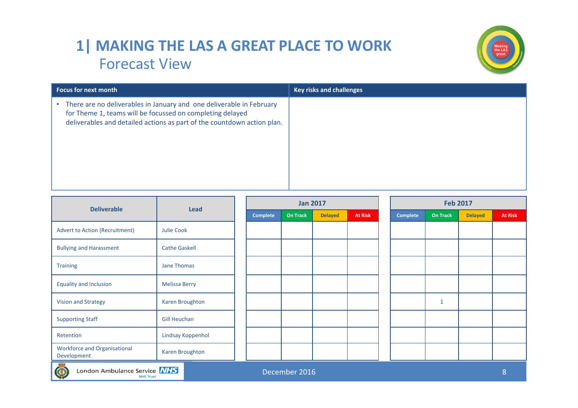### **1| MAKING THE LAS A GREAT PLACE TO WORK** Forecast View



| <b>Focus for next month</b>                                                                                                                                                                                  | <b>Key risks and challenges</b> |
|--------------------------------------------------------------------------------------------------------------------------------------------------------------------------------------------------------------|---------------------------------|
| There are no deliverables in January and one deliverable in February<br>for Theme 1, teams will be focussed on completing delayed<br>deliverables and detailed actions as part of the countdown action plan. |                                 |

| <b>Deliverable</b>                                                |                      | <b>Jan 2017</b><br><b>Lead</b> |                 |                |                |  | <b>Feb 2017</b> |                 |                |                |  |  |
|-------------------------------------------------------------------|----------------------|--------------------------------|-----------------|----------------|----------------|--|-----------------|-----------------|----------------|----------------|--|--|
|                                                                   |                      | <b>Complete</b>                | <b>On Track</b> | <b>Delayed</b> | <b>At Risk</b> |  | <b>Complete</b> | <b>On Track</b> | <b>Delayed</b> | <b>At Risk</b> |  |  |
| <b>Advert to Action (Recruitment)</b>                             | Julie Cook           |                                |                 |                |                |  |                 |                 |                |                |  |  |
| <b>Bullying and Harassment</b>                                    | <b>Cathe Gaskell</b> |                                |                 |                |                |  |                 |                 |                |                |  |  |
| <b>Training</b>                                                   | Jane Thomas          |                                |                 |                |                |  |                 |                 |                |                |  |  |
| <b>Equality and Inclusion</b>                                     | <b>Melissa Berry</b> |                                |                 |                |                |  |                 |                 |                |                |  |  |
| <b>Vision and Strategy</b>                                        | Karen Broughton      |                                |                 |                |                |  |                 | $\mathbf{1}$    |                |                |  |  |
| <b>Supporting Staff</b>                                           | <b>Gill Heuchan</b>  |                                |                 |                |                |  |                 |                 |                |                |  |  |
| Retention                                                         | Lindsay Koppenhol    |                                |                 |                |                |  |                 |                 |                |                |  |  |
| <b>Workforce and Organisational</b><br>Development                | Karen Broughton      |                                |                 |                |                |  |                 |                 |                |                |  |  |
| London Ambulance Service NHS<br>December 2016<br><b>NHS Trust</b> |                      |                                |                 |                |                |  |                 |                 | 8              |                |  |  |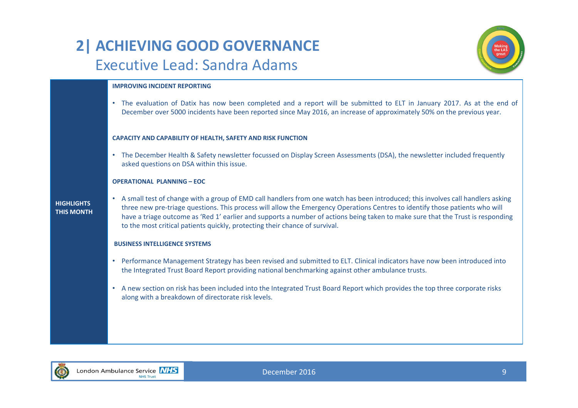## **2| ACHIEVING GOOD GOVERNANCE** Executive Lead: Sandra Adams



#### **IMPROVING INCIDENT REPORTING**

• The evaluation of Datix has now been completed and <sup>a</sup> report will be submitted to ELT in January 2017. As at the end of December over 5000 incidents have been reported since May 2016, an increase of approximately 50% on the previous year.

#### **CAPACITY AND CAPABILITY OF HEALTH, SAFETY AND RISK FUNCTION**

• The December Health & Safety newsletter focussed on Display Screen Assessments (DSA), the newsletter included frequently asked questions on DSA within this issue.

#### **OPERATIONAL PLANNING – EOC**

#### **HIGHLIGHTSTHIS MONTH**

• A small test of change with <sup>a</sup> group of EMD call handlers from one watch has been introduced; this involves call handlers asking three new pre‐triage questions. This process will allow the Emergency Operations Centres to identify those patients who will have <sup>a</sup> triage outcome as 'Red 1' earlier and supports <sup>a</sup> number of actions being taken to make sure that the Trust is responding to the most critical patients quickly, protecting their chance of survival.

#### **BUSINESS INTELLIGENCE SYSTEMS**

- Performance Management Strategy has been revised and submitted to ELT. Clinical indicators have now been introduced into the Integrated Trust Board Report providing national benchmarking against other ambulance trusts.
- A new section on risk has been included into the Integrated Trust Board Report which provides the top three corporate risks along with <sup>a</sup> breakdown of directorate risk levels.

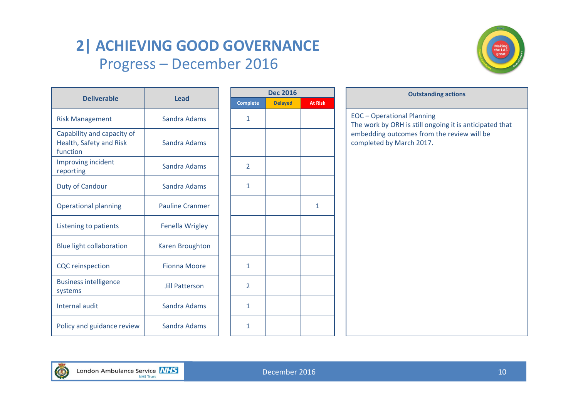# **2| ACHIEVING GOOD GOVERNANCE** Progress – December 2016



|                                                                   | <b>Lead</b>            |  | <b>Dec 2016</b> |                |                |  | <b>Outstand</b>                                                   |
|-------------------------------------------------------------------|------------------------|--|-----------------|----------------|----------------|--|-------------------------------------------------------------------|
| <b>Deliverable</b>                                                |                        |  | <b>Complete</b> | <b>Delayed</b> | <b>At Risk</b> |  |                                                                   |
| <b>Risk Management</b>                                            | Sandra Adams           |  | $\mathbf{1}$    |                |                |  | <b>EOC</b> - Operational Planning<br>The work by ORH is still ong |
| Capability and capacity of<br>Health, Safety and Risk<br>function | Sandra Adams           |  |                 |                |                |  | embedding outcomes from<br>completed by March 2017.               |
| Improving incident<br>reporting                                   | <b>Sandra Adams</b>    |  | $\overline{2}$  |                |                |  |                                                                   |
| <b>Duty of Candour</b>                                            | Sandra Adams           |  | $\mathbf{1}$    |                |                |  |                                                                   |
| <b>Operational planning</b>                                       | <b>Pauline Cranmer</b> |  |                 |                | 1              |  |                                                                   |
| Listening to patients                                             | Fenella Wrigley        |  |                 |                |                |  |                                                                   |
| <b>Blue light collaboration</b>                                   | Karen Broughton        |  |                 |                |                |  |                                                                   |
| <b>CQC</b> reinspection                                           | <b>Fionna Moore</b>    |  | $\mathbf{1}$    |                |                |  |                                                                   |
| <b>Business intelligence</b><br>systems                           | <b>Jill Patterson</b>  |  | $\overline{2}$  |                |                |  |                                                                   |
| Internal audit                                                    | Sandra Adams           |  | $\mathbf{1}$    |                |                |  |                                                                   |
| Policy and guidance review                                        | <b>Sandra Adams</b>    |  | $\mathbf{1}$    |                |                |  |                                                                   |

| <b>Dec 2016</b> |                |                | <b>Outstanding actions</b>                                                                   |  |
|-----------------|----------------|----------------|----------------------------------------------------------------------------------------------|--|
| <b>Complete</b> | <b>Delayed</b> | <b>At Risk</b> |                                                                                              |  |
| $\mathbf{1}$    |                |                | <b>EOC</b> - Operational Planning<br>The work by ORH is still ongoing it is anticipated that |  |
|                 |                |                | embedding outcomes from the review will be<br>completed by March 2017.                       |  |
| $\overline{2}$  |                |                |                                                                                              |  |
| $\mathbf{1}$    |                |                |                                                                                              |  |
|                 |                | $\mathbf{1}$   |                                                                                              |  |
|                 |                |                |                                                                                              |  |
|                 |                |                |                                                                                              |  |
| $\mathbf{1}$    |                |                |                                                                                              |  |
| $\overline{2}$  |                |                |                                                                                              |  |
| $\mathbf{1}$    |                |                |                                                                                              |  |
| $\mathbf{1}$    |                |                |                                                                                              |  |

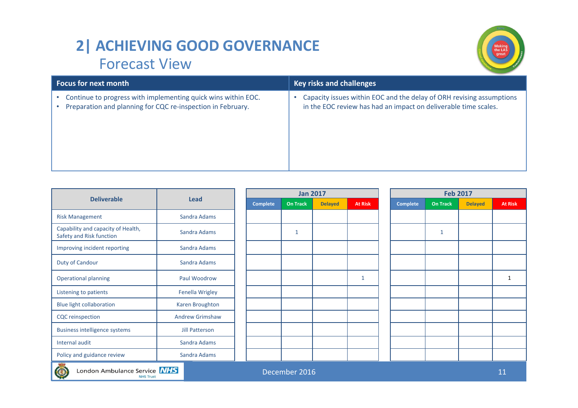## **2| ACHIEVING GOOD GOVERNANCE** Forecast View



| <b>Focus for next month</b>                                   | <b>Key risks and challenges</b>                                      |
|---------------------------------------------------------------|----------------------------------------------------------------------|
| Continue to progress with implementing quick wins within EOC. | Capacity issues within EOC and the delay of ORH revising assumptions |
| Preparation and planning for CQC re-inspection in February.   | in the EOC review has had an impact on deliverable time scales.      |

|                                                                   |                        |                 | <b>Jan 2017</b> |                |                |  | <b>Feb 2017</b> |                 |                |                |  |
|-------------------------------------------------------------------|------------------------|-----------------|-----------------|----------------|----------------|--|-----------------|-----------------|----------------|----------------|--|
| <b>Deliverable</b>                                                | <b>Lead</b>            | <b>Complete</b> | <b>On Track</b> | <b>Delayed</b> | <b>At Risk</b> |  | <b>Complete</b> | <b>On Track</b> | <b>Delayed</b> | <b>At Risk</b> |  |
| <b>Risk Management</b>                                            | Sandra Adams           |                 |                 |                |                |  |                 |                 |                |                |  |
| Capability and capacity of Health,<br>Safety and Risk function    | Sandra Adams           |                 | 1               |                |                |  |                 | $\mathbf{1}$    |                |                |  |
| Improving incident reporting                                      | Sandra Adams           |                 |                 |                |                |  |                 |                 |                |                |  |
| Duty of Candour                                                   | Sandra Adams           |                 |                 |                |                |  |                 |                 |                |                |  |
| <b>Operational planning</b>                                       | Paul Woodrow           |                 |                 |                |                |  |                 |                 |                |                |  |
| Listening to patients                                             | Fenella Wrigley        |                 |                 |                |                |  |                 |                 |                |                |  |
| <b>Blue light collaboration</b>                                   | Karen Broughton        |                 |                 |                |                |  |                 |                 |                |                |  |
| <b>CQC</b> reinspection                                           | <b>Andrew Grimshaw</b> |                 |                 |                |                |  |                 |                 |                |                |  |
| <b>Business intelligence systems</b>                              | Jill Patterson         |                 |                 |                |                |  |                 |                 |                |                |  |
| Internal audit                                                    | Sandra Adams           |                 |                 |                |                |  |                 |                 |                |                |  |
| Policy and guidance review                                        | Sandra Adams           |                 |                 |                |                |  |                 |                 |                |                |  |
| London Ambulance Service NHS<br>December 2016<br><b>NHS Trust</b> |                        |                 |                 |                |                |  |                 |                 |                | 11             |  |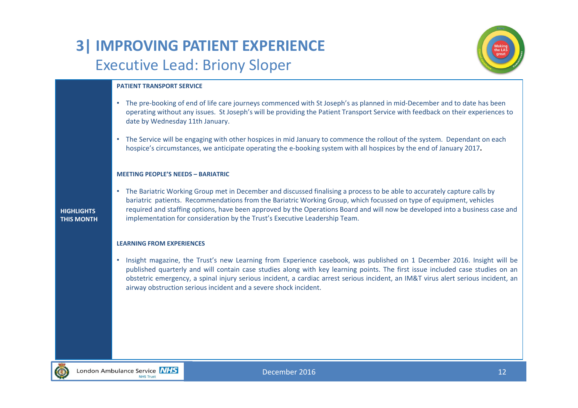# **3| IMPROVING PATIENT EXPERIENCE** Executive Lead: Briony Sloper



#### **PATIENT TRANSPORT SERVICE**

- The pre‐booking of end of life care journeys commenced with St Joseph's as planned in mid‐December and to date has been operating without any issues. St Joseph's will be providing the Patient Transport Service with feedback on their experiences to date by Wednesday 11th January.
- The Service will be engaging with other hospices in mid January to commence the rollout of the system. Dependant on each hospice's circumstances, we anticipate operating the <sup>e</sup>‐booking system with all hospices by the end of January 2017**.**

#### **MEETING PEOPLE'S NEEDS – BARIATRIC**

• The Bariatric Working Group met in December and discussed finalising <sup>a</sup> process to be able to accurately capture calls by bariatric patients. Recommendations from the Bariatric Working Group, which focussed on type of equipment, vehicles required and staffing options, have been approved by the Operations Board and will now be developed into <sup>a</sup> business case and implementation for consideration by the Trust's Executive Leadership Team.

#### **LEARNING FROM EXPERIENCES**

• Insight magazine, the Trust's new Learning from Experience casebook, was published on 1 December 2016. Insight will be published quarterly and will contain case studies along with key learning points. The first issue included case studies on an obstetric emergency, <sup>a</sup> spinal injury serious incident, <sup>a</sup> cardiac arrest serious incident, an IM&T virus alert serious incident, an airway obstruction serious incident and <sup>a</sup> severe shock incident.



**HIGHLIGHTSTHIS MONTH**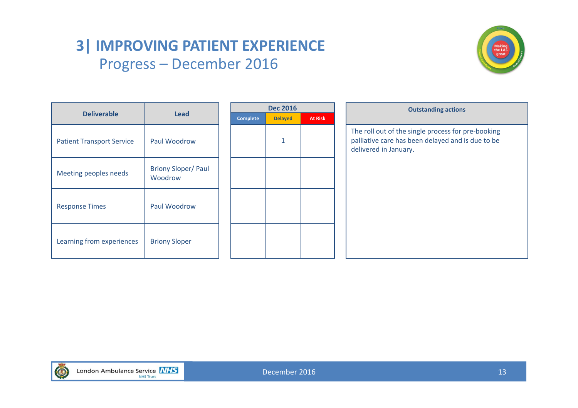### **3| IMPROVING PATIENT EXPERIENCE** Progress – December 2016



|                                  |                                      | <b>Dec 2016</b> |          |                |                | <b>Outstanding actions</b>                                                                                                       |  |  |  |  |  |
|----------------------------------|--------------------------------------|-----------------|----------|----------------|----------------|----------------------------------------------------------------------------------------------------------------------------------|--|--|--|--|--|
| <b>Deliverable</b>               | <b>Lead</b>                          |                 | Complete | <b>Delayed</b> | <b>At Risk</b> |                                                                                                                                  |  |  |  |  |  |
| <b>Patient Transport Service</b> | Paul Woodrow                         |                 |          | 1              |                | The roll out of the single process for pre-booking<br>palliative care has been delayed and is due to be<br>delivered in January. |  |  |  |  |  |
| Meeting peoples needs            | <b>Briony Sloper/Paul</b><br>Woodrow |                 |          |                |                |                                                                                                                                  |  |  |  |  |  |
| <b>Response Times</b>            | Paul Woodrow                         |                 |          |                |                |                                                                                                                                  |  |  |  |  |  |
| Learning from experiences        | <b>Briony Sloper</b>                 |                 |          |                |                |                                                                                                                                  |  |  |  |  |  |

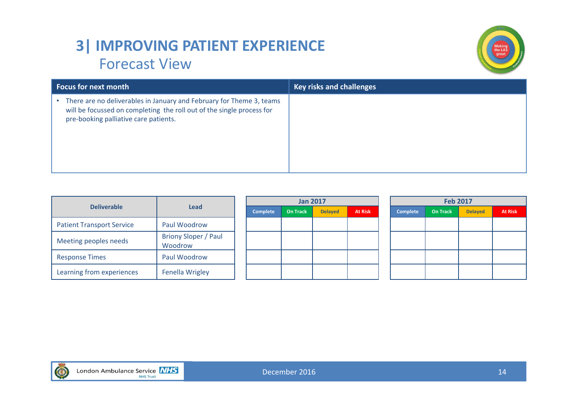## **3| IMPROVING PATIENT EXPERIENCE** Forecast View



| <b>Focus for next month</b>                                                                                                                                                                 | <b>Key risks and challenges</b> |
|---------------------------------------------------------------------------------------------------------------------------------------------------------------------------------------------|---------------------------------|
| There are no deliverables in January and February for Theme 3, teams<br>٠<br>will be focussed on completing the roll out of the single process for<br>pre-booking palliative care patients. |                                 |

|                                  |                                        |          | <b>Jan 2017</b> |                |                | <b>Feb 2017</b> |                 |                |                |  |  |
|----------------------------------|----------------------------------------|----------|-----------------|----------------|----------------|-----------------|-----------------|----------------|----------------|--|--|
| <b>Deliverable</b>               | <b>Lead</b>                            | Complete | <b>On Track</b> | <b>Delayed</b> | <b>At Risk</b> | <b>Complete</b> | <b>On Track</b> | <b>Delayed</b> | <b>At Risk</b> |  |  |
| <b>Patient Transport Service</b> | Paul Woodrow                           |          |                 |                |                |                 |                 |                |                |  |  |
| Meeting peoples needs            | <b>Briony Sloper / Paul</b><br>Woodrow |          |                 |                |                |                 |                 |                |                |  |  |
| <b>Response Times</b>            | Paul Woodrow                           |          |                 |                |                |                 |                 |                |                |  |  |
| Learning from experiences        | <b>Fenella Wrigley</b>                 |          |                 |                |                |                 |                 |                |                |  |  |

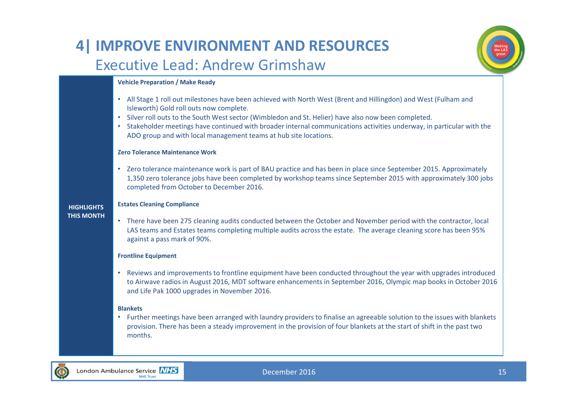### **4| IMPROVE ENVIRONMENT AND RESOURCES** Executive Lead: Andrew Grimshaw



#### **Vehicle Preparation / Make Ready**

- All Stage 1 roll out milestones have been achieved with North West (Brent and Hillingdon) and West (Fulham and Isleworth) Gold roll outs now complete.
- Silver roll outs to the South West sector (Wimbledon and St. Helier) have also now been completed.
- Stakeholder meetings have continued with broader internal communications activities underway, in particular with the ADO group and with local management teams at hub site locations.

#### **Zero Tolerance Maintenance Work**

• Zero tolerance maintenance work is part of BAU practice and has been in place since September 2015. Approximately 1,350 zero tolerance jobs have been completed by workshop teams since September 2015 with approximately 300 jobs completed from October to December 2016.

#### **Estates Cleaning Compliance**

**HIGHLIGHTS THIS MONTH**

• There have been 275 cleaning audits conducted between the October and November period with the contractor, local LAS teams and Estates teams completing multiple audits across the estate. The average cleaning score has been 95% against <sup>a</sup> pass mark of 90%.

#### **Frontline Equipment**

• Reviews and improvements to frontline equipment have been conducted throughout the year with upgrades introduced to Airwave radios in August 2016, MDT software enhancements in September 2016, Olympic map books in October 2016 and Life Pak 1000 upgrades in November 2016.

#### **Blankets**

• Further meetings have been arranged with laundry providers to finalise an agreeable solution to the issues with blankets provision. There has been <sup>a</sup> steady improvement in the provision of four blankets at the start of shift in the past two months.

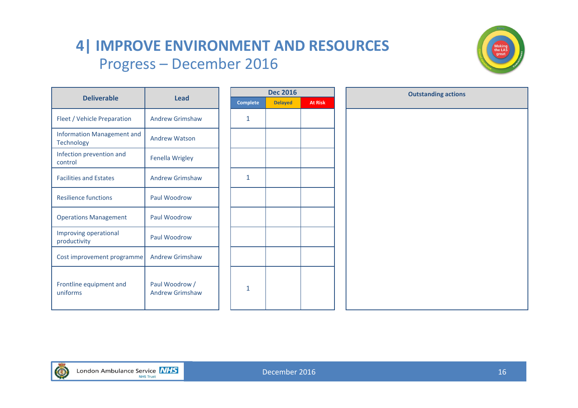### **4| IMPROVE ENVIRONMENT AND RESOURCES** Progress – December 2016



|                                                 |                                          |                 | <b>Dec 2016</b> |                | <b>Outstanding actions</b> |
|-------------------------------------------------|------------------------------------------|-----------------|-----------------|----------------|----------------------------|
| <b>Deliverable</b>                              | <b>Lead</b>                              | <b>Complete</b> | <b>Delayed</b>  | <b>At Risk</b> |                            |
| Fleet / Vehicle Preparation                     | <b>Andrew Grimshaw</b>                   | 1               |                 |                |                            |
| <b>Information Management and</b><br>Technology | <b>Andrew Watson</b>                     |                 |                 |                |                            |
| Infection prevention and<br>control             | Fenella Wrigley                          |                 |                 |                |                            |
| <b>Facilities and Estates</b>                   | <b>Andrew Grimshaw</b>                   | 1               |                 |                |                            |
| <b>Resilience functions</b>                     | Paul Woodrow                             |                 |                 |                |                            |
| <b>Operations Management</b>                    | Paul Woodrow                             |                 |                 |                |                            |
| Improving operational<br>productivity           | Paul Woodrow                             |                 |                 |                |                            |
| Cost improvement programme                      | <b>Andrew Grimshaw</b>                   |                 |                 |                |                            |
| Frontline equipment and<br>uniforms             | Paul Woodrow /<br><b>Andrew Grimshaw</b> | 1               |                 |                |                            |

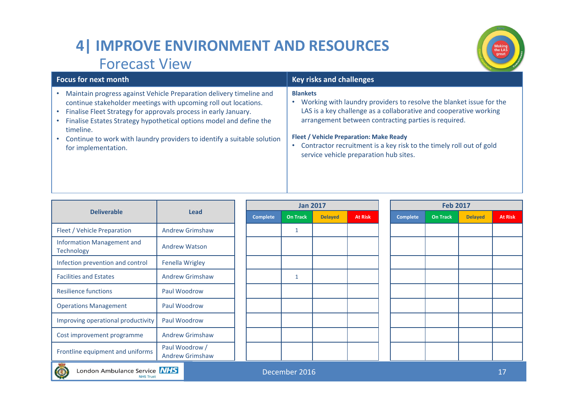# **4| IMPROVE ENVIRONMENT AND RESOURCES** Forecast View



|                                                                         |                                          |                 | <b>Jan 2017</b> |                |                |  | <b>Feb 2017</b> |                 |                |                |  |
|-------------------------------------------------------------------------|------------------------------------------|-----------------|-----------------|----------------|----------------|--|-----------------|-----------------|----------------|----------------|--|
| <b>Deliverable</b>                                                      | <b>Lead</b>                              | <b>Complete</b> | <b>On Track</b> | <b>Delayed</b> | <b>At Risk</b> |  | Complete        | <b>On Track</b> | <b>Delayed</b> | <b>At Risk</b> |  |
| Fleet / Vehicle Preparation                                             | <b>Andrew Grimshaw</b>                   |                 |                 |                |                |  |                 |                 |                |                |  |
| <b>Information Management and</b><br><b>Technology</b>                  | <b>Andrew Watson</b>                     |                 |                 |                |                |  |                 |                 |                |                |  |
| Infection prevention and control                                        | <b>Fenella Wrigley</b>                   |                 |                 |                |                |  |                 |                 |                |                |  |
| <b>Facilities and Estates</b>                                           | <b>Andrew Grimshaw</b>                   |                 | 1               |                |                |  |                 |                 |                |                |  |
| <b>Resilience functions</b>                                             | Paul Woodrow                             |                 |                 |                |                |  |                 |                 |                |                |  |
| <b>Operations Management</b>                                            | Paul Woodrow                             |                 |                 |                |                |  |                 |                 |                |                |  |
| Improving operational productivity                                      | Paul Woodrow                             |                 |                 |                |                |  |                 |                 |                |                |  |
| Cost improvement programme                                              | <b>Andrew Grimshaw</b>                   |                 |                 |                |                |  |                 |                 |                |                |  |
| Frontline equipment and uniforms                                        | Paul Woodrow /<br><b>Andrew Grimshaw</b> |                 |                 |                |                |  |                 |                 |                |                |  |
| London Ambulance Service NHS<br>December 2016<br>17<br><b>NHS Trust</b> |                                          |                 |                 |                |                |  |                 |                 |                |                |  |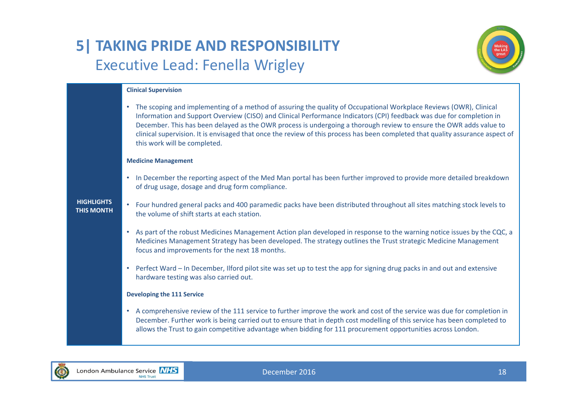# **5| TAKING PRIDE AND RESPONSIBILITY** Executive Lead: Fenella Wrigley



#### **Clinical Supervision**

• The scoping and implementing of <sup>a</sup> method of assuring the quality of Occupational Workplace Reviews (OWR), Clinical Information and Support Overview (CISO) and Clinical Performance Indicators (CPI) feedback was due for completion in December. This has been delayed as the OWR process is undergoing <sup>a</sup> thorough review to ensure the OWR adds value to clinical supervision. It is envisaged that once the review of this process has been completed that quality assurance aspect of this work will be completed.

#### **Medicine Management**

• In December the reporting aspect of the Med Man portal has been further improved to provide more detailed breakdown of drug usage, dosage and drug form compliance.

#### **HIGHLIGHTSTHIS MONTH**

- Four hundred general packs and 400 paramedic packs have been distributed throughout all sites matching stock levels to the volume of shift starts at each station.
	- As part of the robust Medicines Management Action plan developed in response to the warning notice issues by the CQC, <sup>a</sup> Medicines Management Strategy has been developed. The strategy outlines the Trust strategic Medicine Management focus and improvements for the next 18 months.
- Perfect Ward In December, Ilford pilot site was set up to test the app for signing drug packs in and out and extensive hardware testing was also carried out.

#### **Developing the 111 Service**

• A comprehensive review of the 111 service to further improve the work and cost of the service was due for completion in December. Further work is being carried out to ensure that in depth cost modelling of this service has been completed to allows the Trust to gain competitive advantage when bidding for 111 procurement opportunities across London.

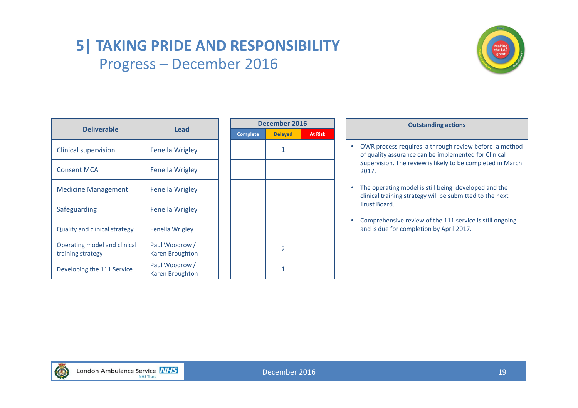## **5| TAKING PRIDE AND RESPONSIBILITY** Progress – December 2016



|                                                   |                                          | <b>Decemb</b>   |             |  |  |
|---------------------------------------------------|------------------------------------------|-----------------|-------------|--|--|
| <b>Deliverable</b>                                | <b>Lead</b>                              | <b>Complete</b> | <b>Dela</b> |  |  |
| <b>Clinical supervision</b>                       | <b>Fenella Wrigley</b>                   |                 | 1           |  |  |
| <b>Consent MCA</b>                                | <b>Fenella Wrigley</b>                   |                 |             |  |  |
| <b>Medicine Management</b>                        | Fenella Wrigley                          |                 |             |  |  |
| Safeguarding                                      | <b>Fenella Wrigley</b>                   |                 |             |  |  |
| <b>Quality and clinical strategy</b>              | Fenella Wrigley                          |                 |             |  |  |
| Operating model and clinical<br>training strategy | Paul Woodrow /<br>Karen Broughton        |                 | 2           |  |  |
| Developing the 111 Service                        | Paul Woodrow /<br><b>Karen Broughton</b> |                 | 1           |  |  |

|                 | December 2016  |                |
|-----------------|----------------|----------------|
| <b>Complete</b> | <b>Delayed</b> | <b>At Risk</b> |
|                 | $\mathbf{1}$   |                |
|                 |                |                |
|                 |                |                |
|                 |                |                |
|                 |                |                |
|                 | $\overline{2}$ |                |
|                 | 1              |                |

| 6<br><b>At Risk</b> | <b>Outstanding actions</b>                                                                                                                                                           |
|---------------------|--------------------------------------------------------------------------------------------------------------------------------------------------------------------------------------|
|                     | OWR process requires a through review before a method<br>of quality assurance can be implemented for Clinical<br>Supervision. The review is likely to be completed in March<br>2017. |
|                     | The operating model is still being developed and the<br>clinical training strategy will be submitted to the next<br>Trust Board.                                                     |
|                     | Comprehensive review of the 111 service is still ongoing<br>and is due for completion by April 2017.                                                                                 |
|                     |                                                                                                                                                                                      |
|                     |                                                                                                                                                                                      |